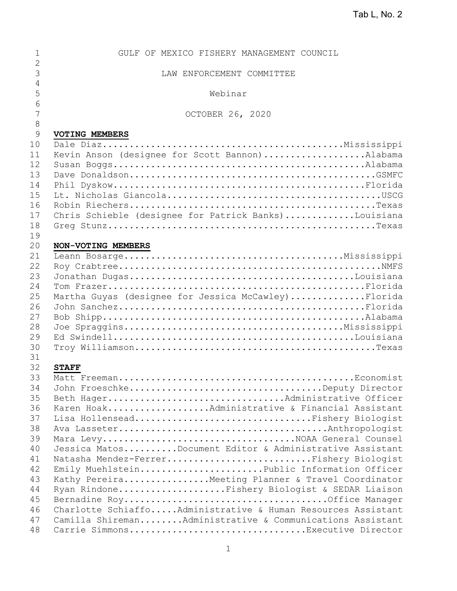| 1              | GULF OF MEXICO FISHERY MANAGEMENT COUNCIL                    |                  |                           |  |  |
|----------------|--------------------------------------------------------------|------------------|---------------------------|--|--|
| $\overline{2}$ |                                                              |                  |                           |  |  |
| 3              |                                                              |                  | LAW ENFORCEMENT COMMITTEE |  |  |
| 4              |                                                              |                  |                           |  |  |
| 5              | Webinar                                                      |                  |                           |  |  |
| 6              |                                                              |                  |                           |  |  |
| 7              |                                                              | OCTOBER 26, 2020 |                           |  |  |
| $\,8\,$        |                                                              |                  |                           |  |  |
| $\mathcal{G}$  | <b>VOTING MEMBERS</b>                                        |                  |                           |  |  |
| 10             |                                                              |                  |                           |  |  |
| 11             | Kevin Anson (designee for Scott Bannon)Alabama               |                  |                           |  |  |
| 12             |                                                              |                  |                           |  |  |
| 13             |                                                              |                  |                           |  |  |
| 14             |                                                              |                  |                           |  |  |
| 15             |                                                              |                  |                           |  |  |
| 16             |                                                              |                  |                           |  |  |
| 17             | Chris Schieble (designee for Patrick Banks)Louisiana         |                  |                           |  |  |
| 18             |                                                              |                  |                           |  |  |
| 19             |                                                              |                  |                           |  |  |
| 20             | NON-VOTING MEMBERS                                           |                  |                           |  |  |
| 21             |                                                              |                  |                           |  |  |
| 22             |                                                              |                  |                           |  |  |
| 23             |                                                              |                  |                           |  |  |
| 24             |                                                              |                  |                           |  |  |
| 25             | Martha Guyas (designee for Jessica McCawley)Florida          |                  |                           |  |  |
| 26             |                                                              |                  |                           |  |  |
| 27             |                                                              |                  |                           |  |  |
| 28             |                                                              |                  |                           |  |  |
| 29             |                                                              |                  |                           |  |  |
| 30             |                                                              |                  |                           |  |  |
| 31             |                                                              |                  |                           |  |  |
| 32             | <b>STAFF</b>                                                 |                  |                           |  |  |
| 33             |                                                              |                  |                           |  |  |
| 34             | John FroeschkeDeputy Director                                |                  |                           |  |  |
| 35             | Beth HagerAdministrative Officer                             |                  |                           |  |  |
| 36             | Karen HoakAdministrative & Financial Assistant               |                  |                           |  |  |
| 37             | Lisa HollenseadFishery Biologist                             |                  |                           |  |  |
| 38             |                                                              |                  |                           |  |  |
| 39             | Mara LevyNOAA General Counsel                                |                  |                           |  |  |
| 40             | Jessica MatosDocument Editor & Administrative Assistant      |                  |                           |  |  |
| 41             | Natasha Mendez-FerrerFishery Biologist                       |                  |                           |  |  |
| 42             | Emily MuehlsteinPublic Information Officer                   |                  |                           |  |  |
| 43             | Kathy PereiraMeeting Planner & Travel Coordinator            |                  |                           |  |  |
| 44             | Ryan RindoneFishery Biologist & SEDAR Liaison                |                  |                           |  |  |
| 45             |                                                              |                  |                           |  |  |
| 46             | Charlotte SchiaffoAdministrative & Human Resources Assistant |                  |                           |  |  |
| 47             | Camilla ShiremanAdministrative & Communications Assistant    |                  |                           |  |  |
| 48             | Carrie SimmonsExecutive Director                             |                  |                           |  |  |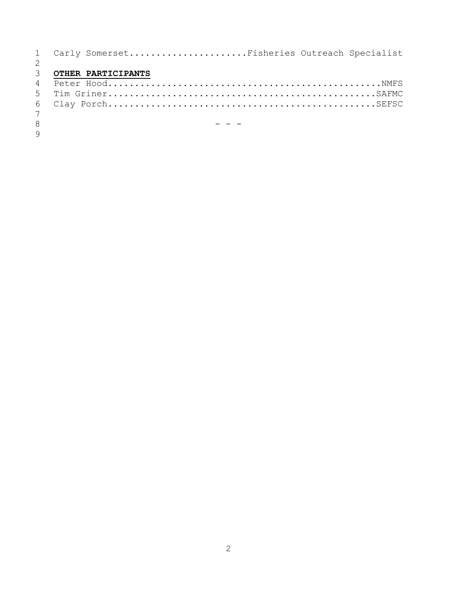|                | 1 Carly SomersetFisheries Outreach Specialist           |
|----------------|---------------------------------------------------------|
| $\mathcal{L}$  |                                                         |
|                | 3 OTHER PARTICIPANTS                                    |
|                |                                                         |
|                |                                                         |
|                |                                                         |
| 7 <sup>7</sup> |                                                         |
| 8              | and the state of the state of the state of the state of |
| $\circ$        |                                                         |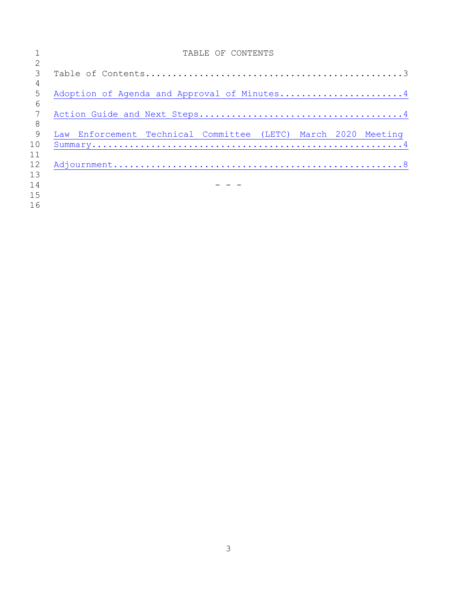|          | TABLE OF CONTENTS                                             |
|----------|---------------------------------------------------------------|
|          |                                                               |
|          |                                                               |
| 4        |                                                               |
| 5        | Adoption of Agenda and Approval of Minutes4                   |
| 6        |                                                               |
|          |                                                               |
| 8<br>9   | Law Enforcement Technical Committee (LETC) March 2020 Meeting |
| 10       |                                                               |
| 11<br>12 |                                                               |
| 13       |                                                               |
| 14       |                                                               |
| 15       |                                                               |
| 16       |                                                               |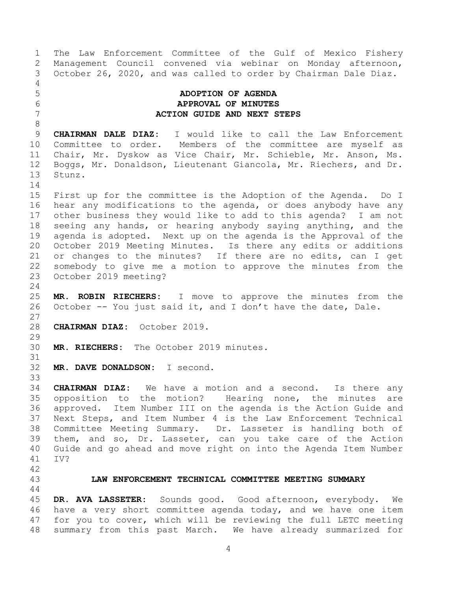<span id="page-3-2"></span><span id="page-3-1"></span><span id="page-3-0"></span> The Law Enforcement Committee of the Gulf of Mexico Fishery Management Council convened via webinar on Monday afternoon, October 26, 2020, and was called to order by Chairman Dale Diaz. **ADOPTION OF AGENDA APPROVAL OF MINUTES ACTION GUIDE AND NEXT STEPS CHAIRMAN DALE DIAZ:** I would like to call the Law Enforcement Committee to order. Members of the committee are myself as Chair, Mr. Dyskow as Vice Chair, Mr. Schieble, Mr. Anson, Ms. Boggs, Mr. Donaldson, Lieutenant Giancola, Mr. Riechers, and Dr. Stunz. First up for the committee is the Adoption of the Agenda. Do I hear any modifications to the agenda, or does anybody have any other business they would like to add to this agenda? I am not seeing any hands, or hearing anybody saying anything, and the agenda is adopted. Next up on the agenda is the Approval of the October 2019 Meeting Minutes. Is there any edits or additions or changes to the minutes? If there are no edits, can I get somebody to give me a motion to approve the minutes from the October 2019 meeting? **MR. ROBIN RIECHERS:** I move to approve the minutes from the October -- You just said it, and I don't have the date, Dale. **CHAIRMAN DIAZ:** October 2019. **MR. RIECHERS:** The October 2019 minutes. **MR. DAVE DONALDSON:** I second. **CHAIRMAN DIAZ:** We have a motion and a second. Is there any opposition to the motion? Hearing none, the minutes are approved. Item Number III on the agenda is the Action Guide and Next Steps, and Item Number 4 is the Law Enforcement Technical Committee Meeting Summary. Dr. Lasseter is handling both of them, and so, Dr. Lasseter, can you take care of the Action Guide and go ahead and move right on into the Agenda Item Number IV? **LAW ENFORCEMENT TECHNICAL COMMITTEE MEETING SUMMARY DR. AVA LASSETER:** Sounds good. Good afternoon, everybody. We have a very short committee agenda today, and we have one item for you to cover, which will be reviewing the full LETC meeting summary from this past March. We have already summarized for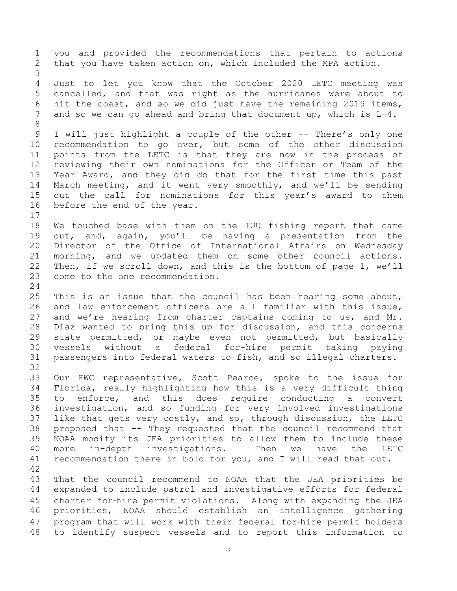you and provided the recommendations that pertain to actions that you have taken action on, which included the MPA action. Just to let you know that the October 2020 LETC meeting was cancelled, and that was right as the hurricanes were about to hit the coast, and so we did just have the remaining 2019 items, 7 and so we can go ahead and bring that document up, which is L-4. I will just highlight a couple of the other -- There's only one recommendation to go over, but some of the other discussion points from the LETC is that they are now in the process of reviewing their own nominations for the Officer or Team of the Year Award, and they did do that for the first time this past March meeting, and it went very smoothly, and we'll be sending out the call for nominations for this year's award to them before the end of the year. We touched base with them on the IUU fishing report that came out, and, again, you'll be having a presentation from the Director of the Office of International Affairs on Wednesday morning, and we updated them on some other council actions. Then, if we scroll down, and this is the bottom of page 1, we'll come to the one recommendation. This is an issue that the council has been hearing some about, and law enforcement officers are all familiar with this issue, and we're hearing from charter captains coming to us, and Mr. Diaz wanted to bring this up for discussion, and this concerns state permitted, or maybe even not permitted, but basically vessels without a federal for-hire permit taking paying passengers into federal waters to fish, and so illegal charters. Our FWC representative, Scott Pearce, spoke to the issue for Florida, really highlighting how this is a very difficult thing to enforce, and this does require conducting a convert investigation, and so funding for very involved investigations like that gets very costly, and so, through discussion, the LETC proposed that -- They requested that the council recommend that NOAA modify its JEA priorities to allow them to include these more in-depth investigations. Then we have the LETC recommendation there in bold for you, and I will read that out. That the council recommend to NOAA that the JEA priorities be expanded to include patrol and investigative efforts for federal 45 charter for-hire permit violations. Along with expanding the JEA priorities, NOAA should establish an intelligence gathering 47 program that will work with their federal for-hire permit holders to identify suspect vessels and to report this information to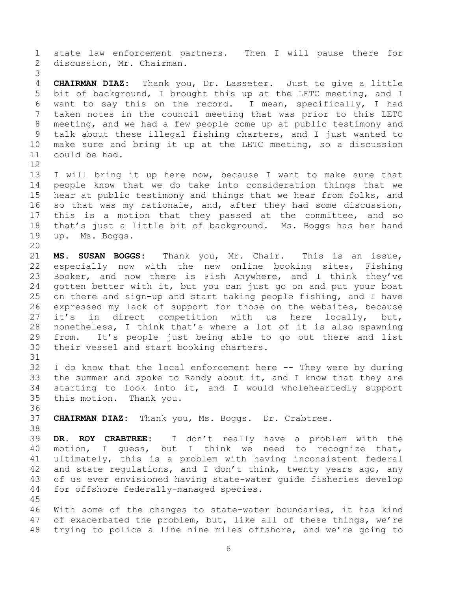state law enforcement partners. Then I will pause there for discussion, Mr. Chairman.

 **CHAIRMAN DIAZ:** Thank you, Dr. Lasseter. Just to give a little bit of background, I brought this up at the LETC meeting, and I want to say this on the record. I mean, specifically, I had taken notes in the council meeting that was prior to this LETC meeting, and we had a few people come up at public testimony and talk about these illegal fishing charters, and I just wanted to make sure and bring it up at the LETC meeting, so a discussion could be had. 

 I will bring it up here now, because I want to make sure that people know that we do take into consideration things that we hear at public testimony and things that we hear from folks, and so that was my rationale, and, after they had some discussion, this is a motion that they passed at the committee, and so that's just a little bit of background. Ms. Boggs has her hand up. Ms. Boggs.

 **MS. SUSAN BOGGS:** Thank you, Mr. Chair. This is an issue, especially now with the new online booking sites, Fishing Booker, and now there is Fish Anywhere, and I think they've gotten better with it, but you can just go on and put your boat on there and sign-up and start taking people fishing, and I have expressed my lack of support for those on the websites, because it's in direct competition with us here locally, but, nonetheless, I think that's where a lot of it is also spawning from. It's people just being able to go out there and list their vessel and start booking charters.

 I do know that the local enforcement here -- They were by during the summer and spoke to Randy about it, and I know that they are starting to look into it, and I would wholeheartedly support this motion. Thank you.

**CHAIRMAN DIAZ:** Thank you, Ms. Boggs. Dr. Crabtree.

 **DR. ROY CRABTREE:** I don't really have a problem with the motion, I guess, but I think we need to recognize that, ultimately, this is a problem with having inconsistent federal and state regulations, and I don't think, twenty years ago, any of us ever envisioned having state-water guide fisheries develop for offshore federally-managed species.

 With some of the changes to state-water boundaries, it has kind of exacerbated the problem, but, like all of these things, we're trying to police a line nine miles offshore, and we're going to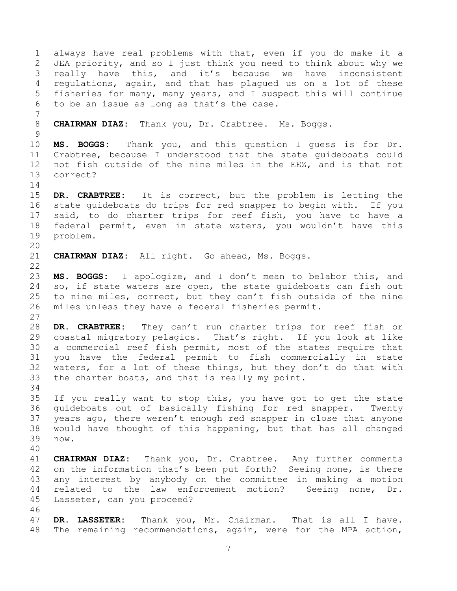always have real problems with that, even if you do make it a JEA priority, and so I just think you need to think about why we really have this, and it's because we have inconsistent regulations, again, and that has plagued us on a lot of these fisheries for many, many years, and I suspect this will continue to be an issue as long as that's the case. **CHAIRMAN DIAZ:** Thank you, Dr. Crabtree. Ms. Boggs. **MS. BOGGS:** Thank you, and this question I guess is for Dr. Crabtree, because I understood that the state guideboats could not fish outside of the nine miles in the EEZ, and is that not correct? **DR. CRABTREE:** It is correct, but the problem is letting the state guideboats do trips for red snapper to begin with. If you said, to do charter trips for reef fish, you have to have a federal permit, even in state waters, you wouldn't have this problem. **CHAIRMAN DIAZ:** All right. Go ahead, Ms. Boggs. **MS. BOGGS:** I apologize, and I don't mean to belabor this, and so, if state waters are open, the state guideboats can fish out to nine miles, correct, but they can't fish outside of the nine miles unless they have a federal fisheries permit. **DR. CRABTREE:** They can't run charter trips for reef fish or coastal migratory pelagics. That's right. If you look at like a commercial reef fish permit, most of the states require that you have the federal permit to fish commercially in state waters, for a lot of these things, but they don't do that with the charter boats, and that is really my point. If you really want to stop this, you have got to get the state guideboats out of basically fishing for red snapper. Twenty years ago, there weren't enough red snapper in close that anyone would have thought of this happening, but that has all changed now. **CHAIRMAN DIAZ:** Thank you, Dr. Crabtree. Any further comments 42 on the information that's been put forth? Seeing none, is there any interest by anybody on the committee in making a motion related to the law enforcement motion? Seeing none, Dr. Lasseter, can you proceed? **DR. LASSETER:** Thank you, Mr. Chairman. That is all I have. The remaining recommendations, again, were for the MPA action,